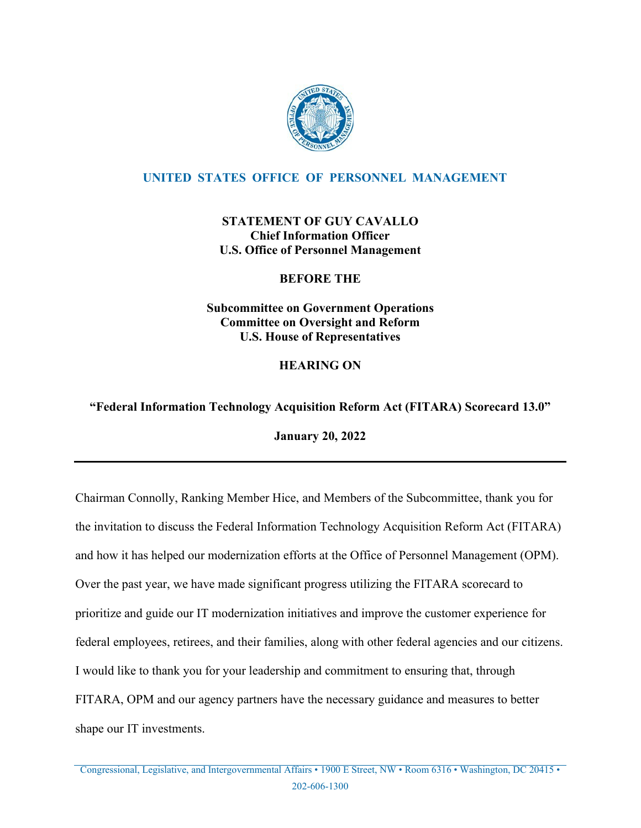

# **UNITED STATES OFFICE OF PERSONNEL MANAGEMENT**

# **STATEMENT OF GUY CAVALLO Chief Information Officer U.S. Office of Personnel Management**

## **BEFORE THE**

**Subcommittee on Government Operations Committee on Oversight and Reform U.S. House of Representatives**

# **HEARING ON**

# **"Federal Information Technology Acquisition Reform Act (FITARA) Scorecard 13.0"**

**January 20, 2022**

Chairman Connolly, Ranking Member Hice, and Members of the Subcommittee, thank you for the invitation to discuss the Federal Information Technology Acquisition Reform Act (FITARA) and how it has helped our modernization efforts at the Office of Personnel Management (OPM). Over the past year, we have made significant progress utilizing the FITARA scorecard to prioritize and guide our IT modernization initiatives and improve the customer experience for federal employees, retirees, and their families, along with other federal agencies and our citizens. I would like to thank you for your leadership and commitment to ensuring that, through FITARA, OPM and our agency partners have the necessary guidance and measures to better shape our IT investments.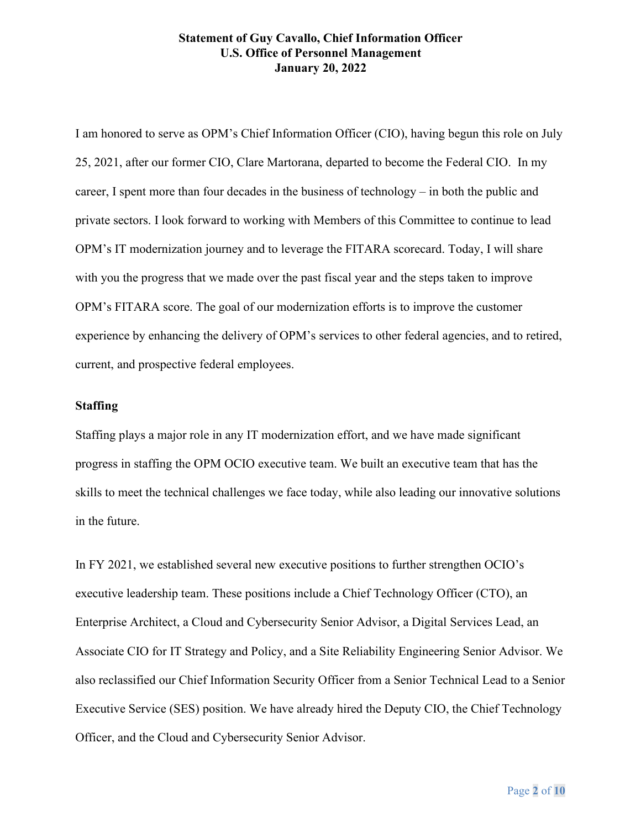I am honored to serve as OPM's Chief Information Officer (CIO), having begun this role on July 25, 2021, after our former CIO, Clare Martorana, departed to become the Federal CIO. In my career, I spent more than four decades in the business of technology – in both the public and private sectors. I look forward to working with Members of this Committee to continue to lead OPM's IT modernization journey and to leverage the FITARA scorecard. Today, I will share with you the progress that we made over the past fiscal year and the steps taken to improve OPM's FITARA score. The goal of our modernization efforts is to improve the customer experience by enhancing the delivery of OPM's services to other federal agencies, and to retired, current, and prospective federal employees.

#### **Staffing**

Staffing plays a major role in any IT modernization effort, and we have made significant progress in staffing the OPM OCIO executive team. We built an executive team that has the skills to meet the technical challenges we face today, while also leading our innovative solutions in the future.

In FY 2021, we established several new executive positions to further strengthen OCIO's executive leadership team. These positions include a Chief Technology Officer (CTO), an Enterprise Architect, a Cloud and Cybersecurity Senior Advisor, a Digital Services Lead, an Associate CIO for IT Strategy and Policy, and a Site Reliability Engineering Senior Advisor. We also reclassified our Chief Information Security Officer from a Senior Technical Lead to a Senior Executive Service (SES) position. We have already hired the Deputy CIO, the Chief Technology Officer, and the Cloud and Cybersecurity Senior Advisor.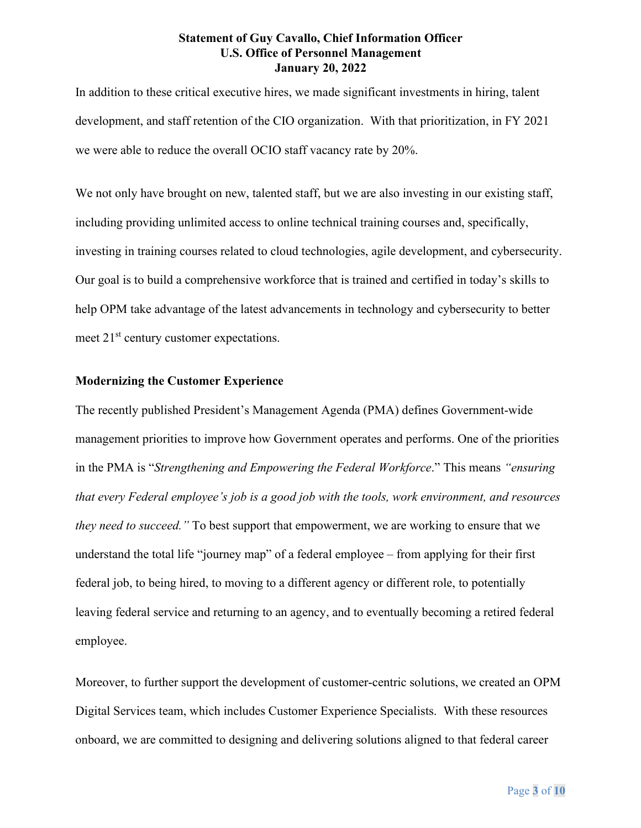In addition to these critical executive hires, we made significant investments in hiring, talent development, and staff retention of the CIO organization. With that prioritization, in FY 2021 we were able to reduce the overall OCIO staff vacancy rate by 20%.

We not only have brought on new, talented staff, but we are also investing in our existing staff, including providing unlimited access to online technical training courses and, specifically, investing in training courses related to cloud technologies, agile development, and cybersecurity. Our goal is to build a comprehensive workforce that is trained and certified in today's skills to help OPM take advantage of the latest advancements in technology and cybersecurity to better meet 21<sup>st</sup> century customer expectations.

#### **Modernizing the Customer Experience**

The recently published President's Management Agenda (PMA) defines Government-wide management priorities to improve how Government operates and performs. One of the priorities in the PMA is "*Strengthening and Empowering the Federal Workforce*." This means *"ensuring that every Federal employee's job is a good job with the tools, work environment, and resources they need to succeed."* To best support that empowerment, we are working to ensure that we understand the total life "journey map" of a federal employee – from applying for their first federal job, to being hired, to moving to a different agency or different role, to potentially leaving federal service and returning to an agency, and to eventually becoming a retired federal employee.

Moreover, to further support the development of customer-centric solutions, we created an OPM Digital Services team, which includes Customer Experience Specialists. With these resources onboard, we are committed to designing and delivering solutions aligned to that federal career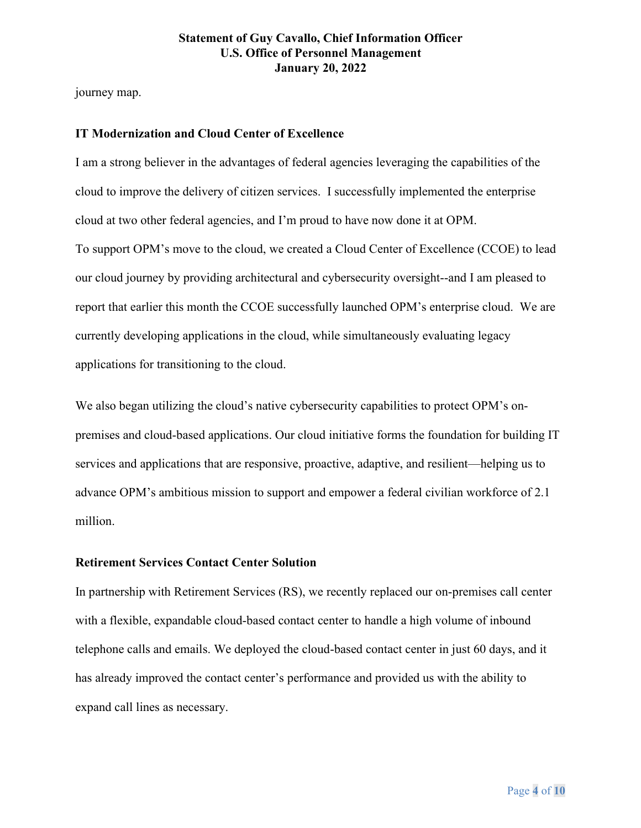journey map.

#### **IT Modernization and Cloud Center of Excellence**

I am a strong believer in the advantages of federal agencies leveraging the capabilities of the cloud to improve the delivery of citizen services. I successfully implemented the enterprise cloud at two other federal agencies, and I'm proud to have now done it at OPM. To support OPM's move to the cloud, we created a Cloud Center of Excellence (CCOE) to lead our cloud journey by providing architectural and cybersecurity oversight--and I am pleased to report that earlier this month the CCOE successfully launched OPM's enterprise cloud. We are currently developing applications in the cloud, while simultaneously evaluating legacy applications for transitioning to the cloud.

We also began utilizing the cloud's native cybersecurity capabilities to protect OPM's onpremises and cloud-based applications. Our cloud initiative forms the foundation for building IT services and applications that are responsive, proactive, adaptive, and resilient—helping us to advance OPM's ambitious mission to support and empower a federal civilian workforce of 2.1 million.

#### **Retirement Services Contact Center Solution**

In partnership with Retirement Services (RS), we recently replaced our on-premises call center with a flexible, expandable cloud-based contact center to handle a high volume of inbound telephone calls and emails. We deployed the cloud-based contact center in just 60 days, and it has already improved the contact center's performance and provided us with the ability to expand call lines as necessary.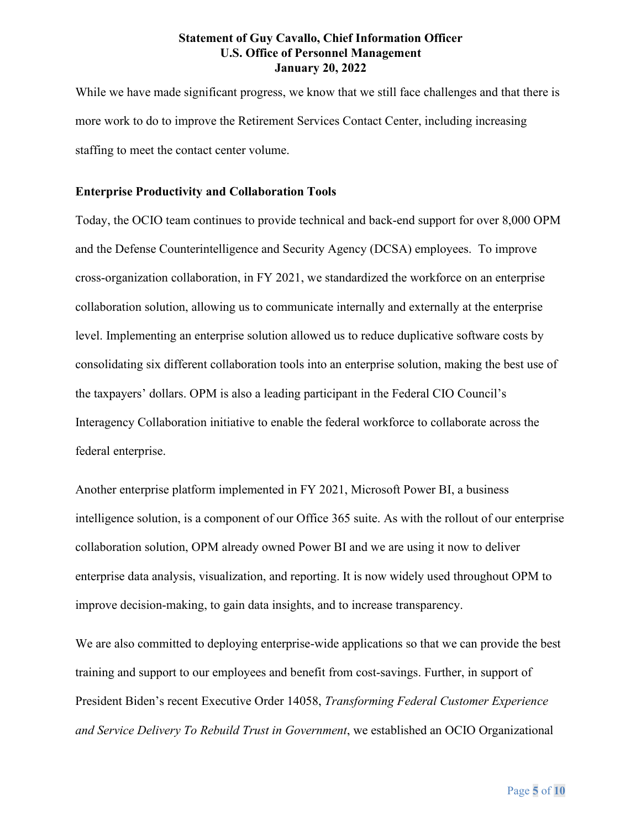While we have made significant progress, we know that we still face challenges and that there is more work to do to improve the Retirement Services Contact Center, including increasing staffing to meet the contact center volume.

#### **Enterprise Productivity and Collaboration Tools**

Today, the OCIO team continues to provide technical and back-end support for over 8,000 OPM and the Defense Counterintelligence and Security Agency (DCSA) employees. To improve cross-organization collaboration, in FY 2021, we standardized the workforce on an enterprise collaboration solution, allowing us to communicate internally and externally at the enterprise level. Implementing an enterprise solution allowed us to reduce duplicative software costs by consolidating six different collaboration tools into an enterprise solution, making the best use of the taxpayers' dollars. OPM is also a leading participant in the Federal CIO Council's Interagency Collaboration initiative to enable the federal workforce to collaborate across the federal enterprise.

Another enterprise platform implemented in FY 2021, Microsoft Power BI, a business intelligence solution, is a component of our Office 365 suite. As with the rollout of our enterprise collaboration solution, OPM already owned Power BI and we are using it now to deliver enterprise data analysis, visualization, and reporting. It is now widely used throughout OPM to improve decision-making, to gain data insights, and to increase transparency.

We are also committed to deploying enterprise-wide applications so that we can provide the best training and support to our employees and benefit from cost-savings. Further, in support of President Biden's recent Executive Order 14058, *Transforming Federal Customer Experience and Service Delivery To Rebuild Trust in Government*, we established an OCIO Organizational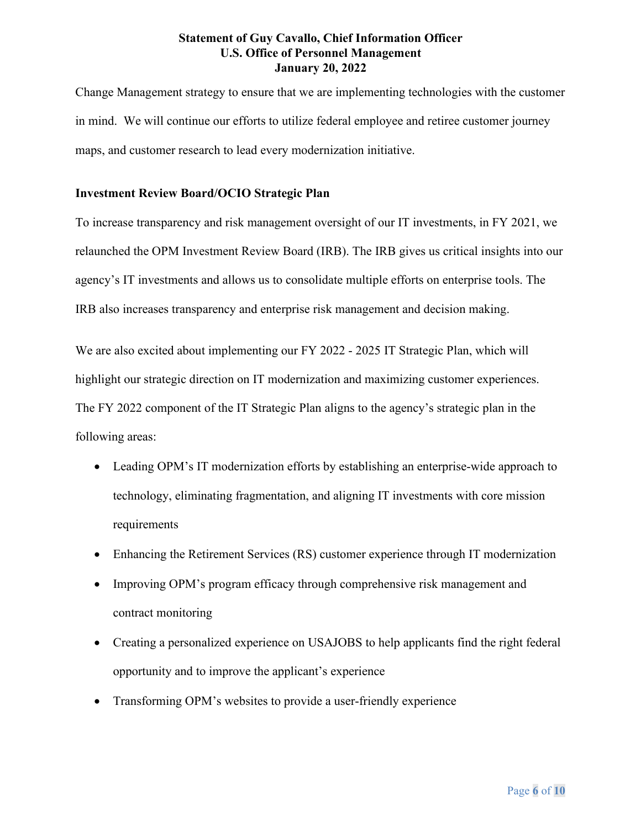Change Management strategy to ensure that we are implementing technologies with the customer in mind. We will continue our efforts to utilize federal employee and retiree customer journey maps, and customer research to lead every modernization initiative.

### **Investment Review Board/OCIO Strategic Plan**

To increase transparency and risk management oversight of our IT investments, in FY 2021, we relaunched the OPM Investment Review Board (IRB). The IRB gives us critical insights into our agency's IT investments and allows us to consolidate multiple efforts on enterprise tools. The IRB also increases transparency and enterprise risk management and decision making.

We are also excited about implementing our FY 2022 - 2025 IT Strategic Plan, which will highlight our strategic direction on IT modernization and maximizing customer experiences. The FY 2022 component of the IT Strategic Plan aligns to the agency's strategic plan in the following areas:

- Leading OPM's IT modernization efforts by establishing an enterprise-wide approach to technology, eliminating fragmentation, and aligning IT investments with core mission requirements
- Enhancing the Retirement Services (RS) customer experience through IT modernization
- Improving OPM's program efficacy through comprehensive risk management and contract monitoring
- Creating a personalized experience on USAJOBS to help applicants find the right federal opportunity and to improve the applicant's experience
- Transforming OPM's websites to provide a user-friendly experience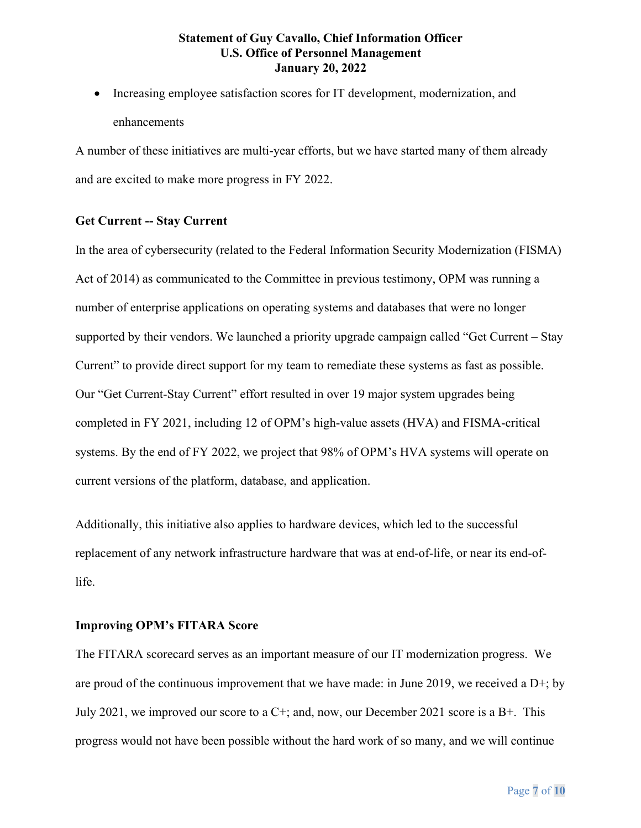• Increasing employee satisfaction scores for IT development, modernization, and enhancements

A number of these initiatives are multi-year efforts, but we have started many of them already and are excited to make more progress in FY 2022.

#### **Get Current -- Stay Current**

In the area of cybersecurity (related to the Federal Information Security Modernization (FISMA) Act of 2014) as communicated to the Committee in previous testimony, OPM was running a number of enterprise applications on operating systems and databases that were no longer supported by their vendors. We launched a priority upgrade campaign called "Get Current – Stay Current" to provide direct support for my team to remediate these systems as fast as possible. Our "Get Current-Stay Current" effort resulted in over 19 major system upgrades being completed in FY 2021, including 12 of OPM's high-value assets (HVA) and FISMA-critical systems. By the end of FY 2022, we project that 98% of OPM's HVA systems will operate on current versions of the platform, database, and application.

Additionally, this initiative also applies to hardware devices, which led to the successful replacement of any network infrastructure hardware that was at end-of-life, or near its end-oflife.

#### **Improving OPM's FITARA Score**

The FITARA scorecard serves as an important measure of our IT modernization progress. We are proud of the continuous improvement that we have made: in June 2019, we received a  $D^{+}$ ; by July 2021, we improved our score to a  $C^+$ ; and, now, our December 2021 score is a  $B^+$ . This progress would not have been possible without the hard work of so many, and we will continue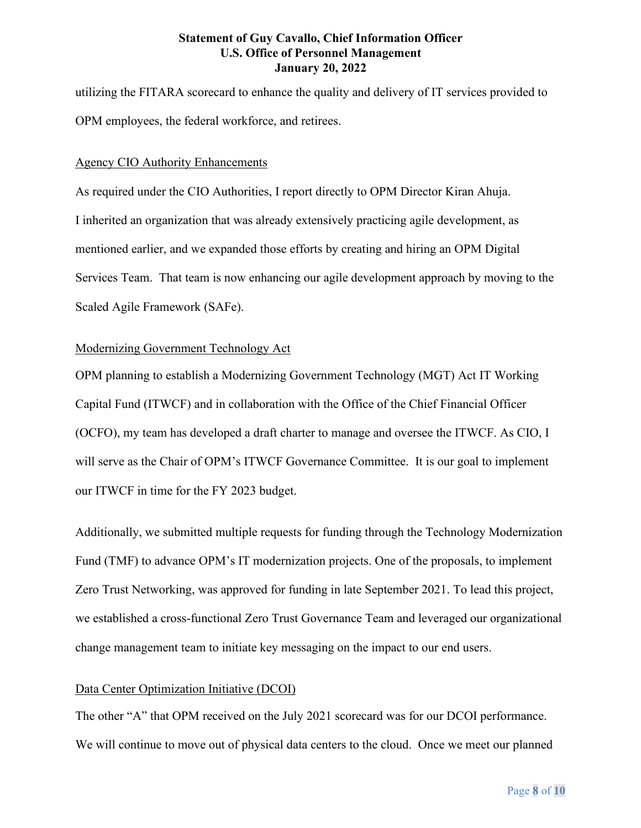utilizing the FITARA scorecard to enhance the quality and delivery of IT services provided to OPM employees, the federal workforce, and retirees.

#### Agency CIO Authority Enhancements

As required under the CIO Authorities, I report directly to OPM Director Kiran Ahuja. I inherited an organization that was already extensively practicing agile development, as mentioned earlier, and we expanded those efforts by creating and hiring an OPM Digital Services Team. That team is now enhancing our agile development approach by moving to the Scaled Agile Framework (SAFe).

#### Modernizing Government Technology Act

OPM planning to establish a Modernizing Government Technology (MGT) Act IT Working Capital Fund (ITWCF) and in collaboration with the Office of the Chief Financial Officer (OCFO), my team has developed a draft charter to manage and oversee the ITWCF. As CIO, I will serve as the Chair of OPM's ITWCF Governance Committee. It is our goal to implement our ITWCF in time for the FY 2023 budget.

Additionally, we submitted multiple requests for funding through the Technology Modernization Fund (TMF) to advance OPM's IT modernization projects. One of the proposals, to implement Zero Trust Networking, was approved for funding in late September 2021. To lead this project, we established a cross-functional Zero Trust Governance Team and leveraged our organizational change management team to initiate key messaging on the impact to our end users.

#### Data Center Optimization Initiative (DCOI)

The other "A" that OPM received on the July 2021 scorecard was for our DCOI performance. We will continue to move out of physical data centers to the cloud. Once we meet our planned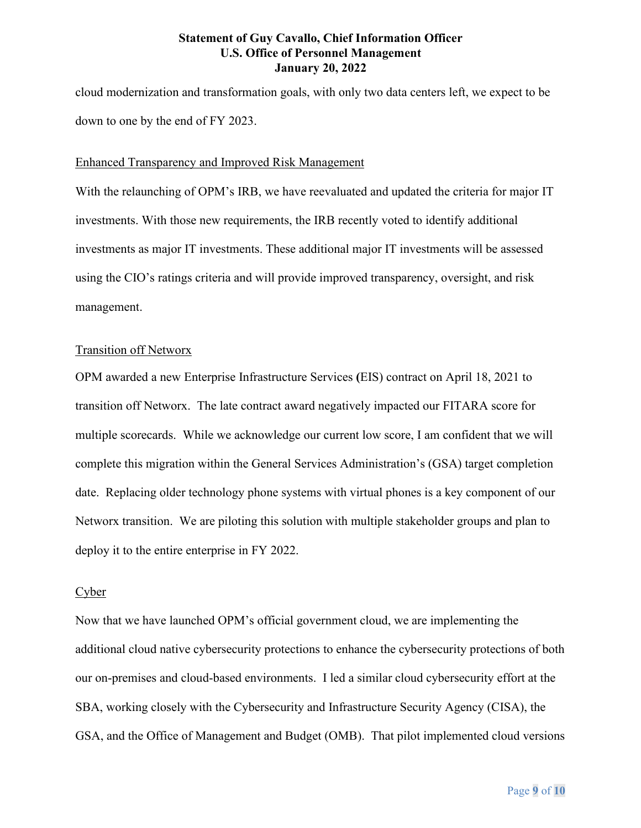cloud modernization and transformation goals, with only two data centers left, we expect to be down to one by the end of FY 2023.

#### Enhanced Transparency and Improved Risk Management

With the relaunching of OPM's IRB, we have reevaluated and updated the criteria for major IT investments. With those new requirements, the IRB recently voted to identify additional investments as major IT investments. These additional major IT investments will be assessed using the CIO's ratings criteria and will provide improved transparency, oversight, and risk management.

#### Transition off Networx

OPM awarded a new Enterprise Infrastructure Services **(**EIS) contract on April 18, 2021 to transition off Networx. The late contract award negatively impacted our FITARA score for multiple scorecards. While we acknowledge our current low score, I am confident that we will complete this migration within the General Services Administration's (GSA) target completion date. Replacing older technology phone systems with virtual phones is a key component of our Networx transition. We are piloting this solution with multiple stakeholder groups and plan to deploy it to the entire enterprise in FY 2022.

#### Cyber

Now that we have launched OPM's official government cloud, we are implementing the additional cloud native cybersecurity protections to enhance the cybersecurity protections of both our on-premises and cloud-based environments. I led a similar cloud cybersecurity effort at the SBA, working closely with the Cybersecurity and Infrastructure Security Agency (CISA), the GSA, and the Office of Management and Budget (OMB). That pilot implemented cloud versions